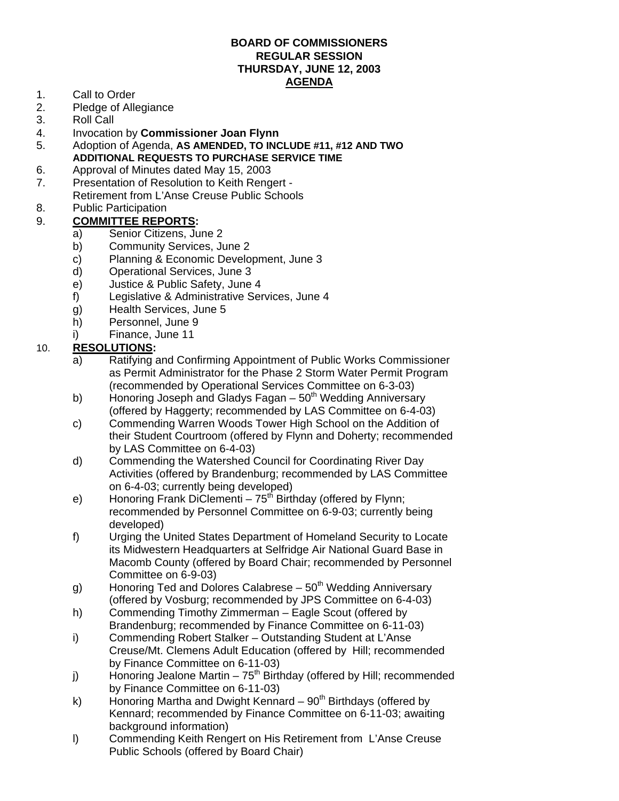## **BOARD OF COMMISSIONERS REGULAR SESSION THURSDAY, JUNE 12, 2003 AGENDA**

- 1. Call to Order
- 2. Pledge of Allegiance
- 3. Roll Call
- 4. Invocation by **Commissioner Joan Flynn**
- 5. Adoption of Agenda, **AS AMENDED, TO INCLUDE #11, #12 AND TWO ADDITIONAL REQUESTS TO PURCHASE SERVICE TIME**
- 6. Approval of Minutes dated May 15, 2003
- 7. Presentation of Resolution to Keith Rengert Retirement from L'Anse Creuse Public Schools
- 8. Public Participation

## 9. **COMMITTEE REPORTS:**

- a) Senior Citizens, June 2
- b) Community Services, June 2
- c) Planning & Economic Development, June 3
- d) Operational Services, June 3
- e) Justice & Public Safety, June 4
- f) Legislative & Administrative Services, June 4
- g) Health Services, June 5
- h) Personnel, June 9
- i) Finance, June 11

## 10. **RESOLUTIONS:**

- a) Ratifying and Confirming Appointment of Public Works Commissioner as Permit Administrator for the Phase 2 Storm Water Permit Program (recommended by Operational Services Committee on 6-3-03)
- b) Honoring Joseph and Gladys Fagan  $50<sup>th</sup>$  Wedding Anniversary (offered by Haggerty; recommended by LAS Committee on 6-4-03)
- c) Commending Warren Woods Tower High School on the Addition of their Student Courtroom (offered by Flynn and Doherty; recommended by LAS Committee on 6-4-03)
- d) Commending the Watershed Council for Coordinating River Day Activities (offered by Brandenburg; recommended by LAS Committee on 6-4-03; currently being developed)
- e) Honoring Frank DiClementi  $75<sup>th</sup>$  Birthday (offered by Flynn; recommended by Personnel Committee on 6-9-03; currently being developed)
- f) Urging the United States Department of Homeland Security to Locate its Midwestern Headquarters at Selfridge Air National Guard Base in Macomb County (offered by Board Chair; recommended by Personnel Committee on 6-9-03)
- g) Honoring Ted and Dolores Calabrese 50<sup>th</sup> Wedding Anniversary (offered by Vosburg; recommended by JPS Committee on 6-4-03)
- h) Commending Timothy Zimmerman Eagle Scout (offered by Brandenburg; recommended by Finance Committee on 6-11-03)
- i) Commending Robert Stalker Outstanding Student at L'Anse Creuse/Mt. Clemens Adult Education (offered by Hill; recommended by Finance Committee on 6-11-03)
- j) Honoring Jealone Martin  $75<sup>th</sup>$  Birthday (offered by Hill; recommended by Finance Committee on 6-11-03)
- k) Honoring Martha and Dwight Kennard  $90<sup>th</sup>$  Birthdays (offered by Kennard; recommended by Finance Committee on 6-11-03; awaiting background information)
- l) Commending Keith Rengert on His Retirement from L'Anse Creuse Public Schools (offered by Board Chair)